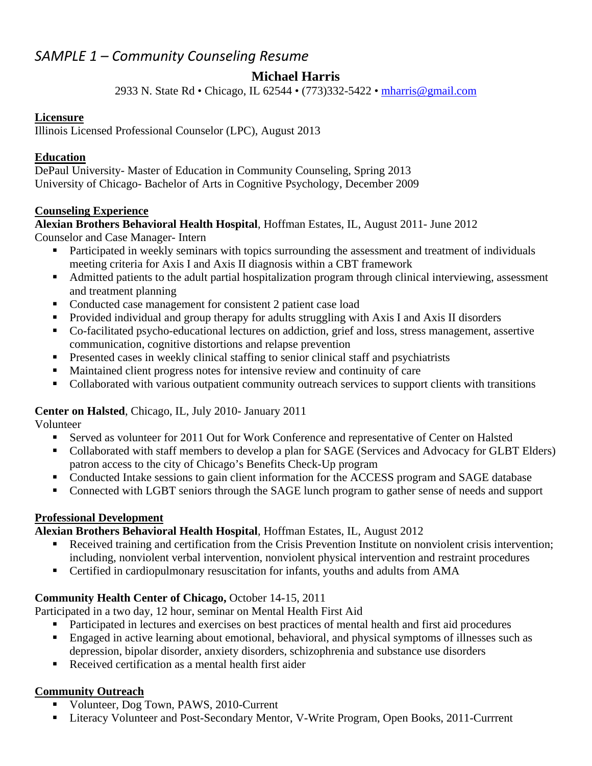# *SAMPLE 1 – Community Counseling Resume*

## **Michael Harris**

2933 N. State Rd • Chicago, IL 62544 • (773)332-5422 • mharris@gmail.com

### **Licensure**

Illinois Licensed Professional Counselor (LPC), August 2013

### **Education**

DePaul University- Master of Education in Community Counseling, Spring 2013 University of Chicago- Bachelor of Arts in Cognitive Psychology, December 2009

### **Counseling Experience**

## **Alexian Brothers Behavioral Health Hospital**, Hoffman Estates, IL, August 2011- June 2012

Counselor and Case Manager- Intern

- Participated in weekly seminars with topics surrounding the assessment and treatment of individuals meeting criteria for Axis I and Axis II diagnosis within a CBT framework
- Admitted patients to the adult partial hospitalization program through clinical interviewing, assessment and treatment planning
- Conducted case management for consistent 2 patient case load
- Provided individual and group therapy for adults struggling with Axis I and Axis II disorders
- Co-facilitated psycho-educational lectures on addiction, grief and loss, stress management, assertive communication, cognitive distortions and relapse prevention
- **Presented cases in weekly clinical staffing to senior clinical staff and psychiatrists**
- Maintained client progress notes for intensive review and continuity of care
- Collaborated with various outpatient community outreach services to support clients with transitions

## **Center on Halsted**, Chicago, IL, July 2010- January 2011

Volunteer

- Served as volunteer for 2011 Out for Work Conference and representative of Center on Halsted
- Collaborated with staff members to develop a plan for SAGE (Services and Advocacy for GLBT Elders) patron access to the city of Chicago's Benefits Check-Up program
- Conducted Intake sessions to gain client information for the ACCESS program and SAGE database
- Connected with LGBT seniors through the SAGE lunch program to gather sense of needs and support

## **Professional Development**

## **Alexian Brothers Behavioral Health Hospital**, Hoffman Estates, IL, August 2012

- Received training and certification from the Crisis Prevention Institute on nonviolent crisis intervention; including, nonviolent verbal intervention, nonviolent physical intervention and restraint procedures
- Certified in cardiopulmonary resuscitation for infants, youths and adults from AMA

## **Community Health Center of Chicago,** October 14-15, 2011

Participated in a two day, 12 hour, seminar on Mental Health First Aid

- Participated in lectures and exercises on best practices of mental health and first aid procedures
- **Engaged in active learning about emotional, behavioral, and physical symptoms of illnesses such as** depression, bipolar disorder, anxiety disorders, schizophrenia and substance use disorders
- Received certification as a mental health first aider

## **Community Outreach**

- Volunteer, Dog Town, PAWS, 2010-Current
- **Literacy Volunteer and Post-Secondary Mentor, V-Write Program, Open Books, 2011-Currrent**